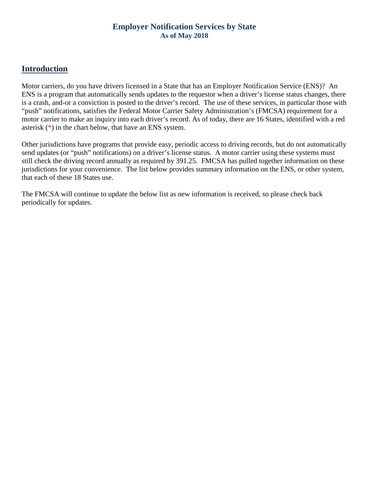# **Introduction**

Motor carriers, do you have drivers licensed in a State that has an Employer Notification Service (ENS)? An ENS is a program that automatically sends updates to the requestor when a driver's license status changes, there is a crash, and-or a conviction is posted to the driver's record. The use of these services, in particular those with "push" notifications, satisfies the Federal Motor Carrier Safety Administration's (FMCSA) requirement for a motor carrier to make an inquiry into each driver's record. As of today, there are 16 States, identified with a red asterisk (\*) in the chart below, that have an ENS system.

Other jurisdictions have programs that provide easy, periodic access to driving records, but do not automatically send updates (or "push" notifications) on a driver's license status. A motor carrier using these systems must still check the driving record annually as required by 391.25. FMCSA has pulled together information on these jurisdictions for your convenience. The list below provides summary information on the ENS, or other system, that each of these 18 States use.

The FMCSA will continue to update the below list as new information is received, so please check back periodically for updates.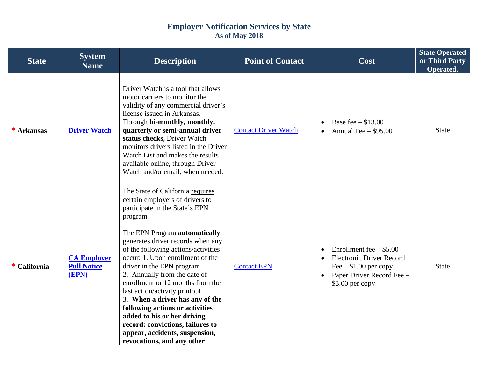| <b>State</b>    | <b>System</b><br><b>Name</b>                      | <b>Description</b>                                                                                                                                                                                                                                                                                                                                                                                                                                                                                                                                                                                           | <b>Point of Contact</b>     | Cost                                                                                                                                                              | <b>State Operated</b><br>or Third Party<br>Operated. |
|-----------------|---------------------------------------------------|--------------------------------------------------------------------------------------------------------------------------------------------------------------------------------------------------------------------------------------------------------------------------------------------------------------------------------------------------------------------------------------------------------------------------------------------------------------------------------------------------------------------------------------------------------------------------------------------------------------|-----------------------------|-------------------------------------------------------------------------------------------------------------------------------------------------------------------|------------------------------------------------------|
| * Arkansas      | <b>Driver Watch</b>                               | Driver Watch is a tool that allows<br>motor carriers to monitor the<br>validity of any commercial driver's<br>license issued in Arkansas.<br>Through bi-monthly, monthly,<br>quarterly or semi-annual driver<br>status checks, Driver Watch<br>monitors drivers listed in the Driver<br>Watch List and makes the results<br>available online, through Driver<br>Watch and/or email, when needed.                                                                                                                                                                                                             | <b>Contact Driver Watch</b> | Base fee $-$ \$13.00<br>Annual Fee $-$ \$95.00                                                                                                                    | State                                                |
| ∗<br>California | <b>CA Employer</b><br><b>Pull Notice</b><br>(EPN) | The State of California requires<br>certain employers of drivers to<br>participate in the State's EPN<br>program<br>The EPN Program automatically<br>generates driver records when any<br>of the following actions/activities<br>occur: 1. Upon enrollment of the<br>driver in the EPN program<br>2. Annually from the date of<br>enrollment or 12 months from the<br>last action/activity printout<br>3. When a driver has any of the<br>following actions or activities<br>added to his or her driving<br>record: convictions, failures to<br>appear, accidents, suspension,<br>revocations, and any other | <b>Contact EPN</b>          | Enrollment fee $-$ \$5.00<br>$\bullet$<br><b>Electronic Driver Record</b><br>Fee $-$ \$1.00 per copy<br>Paper Driver Record Fee -<br>$\bullet$<br>\$3.00 per copy | <b>State</b>                                         |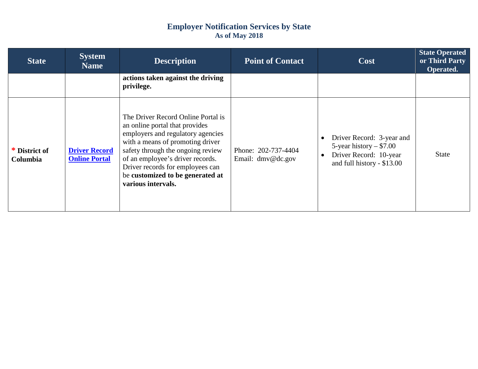| <b>State</b>              | <b>System</b><br><b>Name</b>                 | <b>Description</b>                                                                                                                                                                                                                                                                                                   | <b>Point of Contact</b>                    | Cost                                                                                                           | <b>State Operated</b><br>or Third Party<br>Operated. |
|---------------------------|----------------------------------------------|----------------------------------------------------------------------------------------------------------------------------------------------------------------------------------------------------------------------------------------------------------------------------------------------------------------------|--------------------------------------------|----------------------------------------------------------------------------------------------------------------|------------------------------------------------------|
|                           |                                              | actions taken against the driving<br>privilege.                                                                                                                                                                                                                                                                      |                                            |                                                                                                                |                                                      |
| * District of<br>Columbia | <b>Driver Record</b><br><b>Online Portal</b> | The Driver Record Online Portal is<br>an online portal that provides<br>employers and regulatory agencies<br>with a means of promoting driver<br>safety through the ongoing review<br>of an employee's driver records.<br>Driver records for employees can<br>be customized to be generated at<br>various intervals. | Phone: 202-737-4404<br>Email: $dmv@dc.gov$ | Driver Record: 3-year and<br>5-year history $-$ \$7.00<br>Driver Record: 10-year<br>and full history - \$13.00 | <b>State</b>                                         |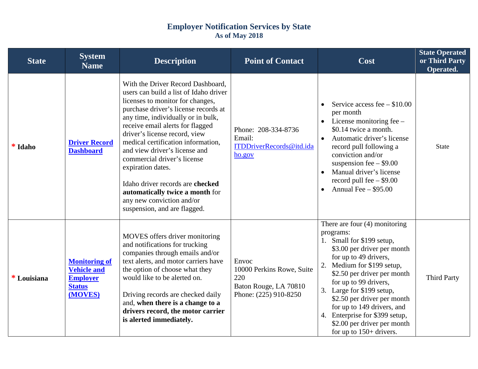| <b>State</b> | <b>System</b><br><b>Name</b>                                                              | <b>Description</b>                                                                                                                                                                                                                                                                                                                                                                                                                                                                                                                | <b>Point of Contact</b>                                                                     | Cost                                                                                                                                                                                                                                                                                                                                                                                                                  | <b>State Operated</b><br>or Third Party<br>Operated. |
|--------------|-------------------------------------------------------------------------------------------|-----------------------------------------------------------------------------------------------------------------------------------------------------------------------------------------------------------------------------------------------------------------------------------------------------------------------------------------------------------------------------------------------------------------------------------------------------------------------------------------------------------------------------------|---------------------------------------------------------------------------------------------|-----------------------------------------------------------------------------------------------------------------------------------------------------------------------------------------------------------------------------------------------------------------------------------------------------------------------------------------------------------------------------------------------------------------------|------------------------------------------------------|
| * Idaho      | <b>Driver Record</b><br><b>Dashboard</b>                                                  | With the Driver Record Dashboard,<br>users can build a list of Idaho driver<br>licenses to monitor for changes,<br>purchase driver's license records at<br>any time, individually or in bulk,<br>receive email alerts for flagged<br>driver's license record, view<br>medical certification information,<br>and view driver's license and<br>commercial driver's license<br>expiration dates.<br>Idaho driver records are checked<br>automatically twice a month for<br>any new conviction and/or<br>suspension, and are flagged. | Phone: 208-334-8736<br>Email:<br>ITDDriverRecords@itd.ida<br>ho.gov                         | Service access fee $-$ \$10.00<br>per month<br>License monitoring fee -<br>$\bullet$<br>\$0.14 twice a month.<br>Automatic driver's license<br>record pull following a<br>conviction and/or<br>suspension fee $-$ \$9.00<br>Manual driver's license<br>record pull fee $-$ \$9.00<br>Annual Fee $-$ \$95.00                                                                                                           | <b>State</b>                                         |
| * Louisiana  | <b>Monitoring of</b><br><b>Vehicle and</b><br><b>Employer</b><br><b>Status</b><br>(MOVES) | MOVES offers driver monitoring<br>and notifications for trucking<br>companies through emails and/or<br>text alerts, and motor carriers have<br>the option of choose what they<br>would like to be alerted on.<br>Driving records are checked daily<br>and, when there is a change to a<br>drivers record, the motor carrier<br>is alerted immediately.                                                                                                                                                                            | Envoc<br>10000 Perkins Rowe, Suite<br>220<br>Baton Rouge, LA 70810<br>Phone: (225) 910-8250 | There are four $(4)$ monitoring<br>programs:<br>1. Small for \$199 setup,<br>\$3.00 per driver per month<br>for up to 49 drivers,<br>Medium for \$199 setup,<br>2.<br>\$2.50 per driver per month<br>for up to 99 drivers,<br>3. Large for \$199 setup,<br>\$2.50 per driver per month<br>for up to 149 drivers, and<br>Enterprise for \$399 setup,<br>4.<br>\$2.00 per driver per month<br>for up to $150+$ drivers. | <b>Third Party</b>                                   |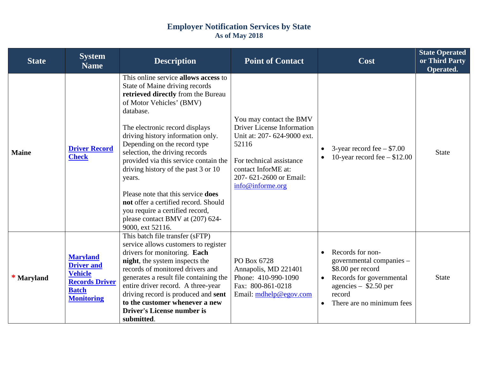| <b>State</b> | <b>System</b><br><b>Name</b>                                                                                         | <b>Description</b>                                                                                                                                                                                                                                                                                                                                                                                                                                                                                                                                                       | <b>Point of Contact</b>                                                                                                                                                                               | Cost                                                                                                                                                                                      | <b>State Operated</b><br>or Third Party<br>Operated. |
|--------------|----------------------------------------------------------------------------------------------------------------------|--------------------------------------------------------------------------------------------------------------------------------------------------------------------------------------------------------------------------------------------------------------------------------------------------------------------------------------------------------------------------------------------------------------------------------------------------------------------------------------------------------------------------------------------------------------------------|-------------------------------------------------------------------------------------------------------------------------------------------------------------------------------------------------------|-------------------------------------------------------------------------------------------------------------------------------------------------------------------------------------------|------------------------------------------------------|
| <b>Maine</b> | <b>Driver Record</b><br><b>Check</b>                                                                                 | This online service allows access to<br>State of Maine driving records<br>retrieved directly from the Bureau<br>of Motor Vehicles' (BMV)<br>database.<br>The electronic record displays<br>driving history information only.<br>Depending on the record type<br>selection, the driving records<br>provided via this service contain the<br>driving history of the past 3 or 10<br>years.<br>Please note that this service <b>does</b><br>not offer a certified record. Should<br>you require a certified record,<br>please contact BMV at (207) 624-<br>9000, ext 52116. | You may contact the BMV<br><b>Driver License Information</b><br>Unit at: 207- 624-9000 ext.<br>52116<br>For technical assistance<br>contact InforME at:<br>207-621-2600 or Email:<br>info@informe.org | 3-year record fee $-$ \$7.00<br>10-year record fee $-$ \$12.00                                                                                                                            | <b>State</b>                                         |
| * Maryland   | <b>Maryland</b><br><b>Driver</b> and<br><b>Vehicle</b><br><b>Records Driver</b><br><b>Batch</b><br><b>Monitoring</b> | This batch file transfer (sFTP)<br>service allows customers to register<br>drivers for monitoring. Each<br>night, the system inspects the<br>records of monitored drivers and<br>generates a result file containing the<br>entire driver record. A three-year<br>driving record is produced and sent<br>to the customer whenever a new<br><b>Driver's License number is</b><br>submitted.                                                                                                                                                                                | PO Box 6728<br>Annapolis, MD 221401<br>Phone: 410-990-1090<br>Fax: 800-861-0218<br>Email: mdhelp@egov.com                                                                                             | Records for non-<br>governmental companies -<br>\$8.00 per record<br>Records for governmental<br>$\bullet$<br>agencies $-$ \$2.50 per<br>record<br>There are no minimum fees<br>$\bullet$ | <b>State</b>                                         |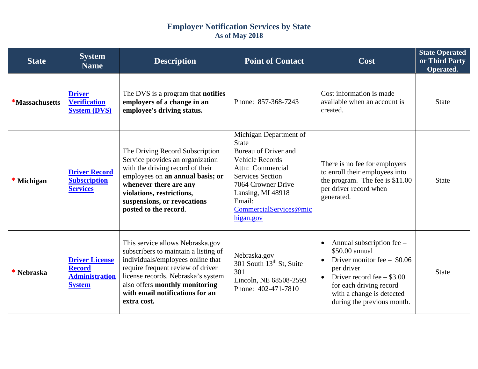| <b>State</b>                 | <b>System</b><br><b>Name</b>                                                     | <b>Description</b>                                                                                                                                                                                                                                                           | <b>Point of Contact</b>                                                                                                                                                                                                             | Cost                                                                                                                                                                                                                          | <b>State Operated</b><br>or Third Party<br>Operated. |
|------------------------------|----------------------------------------------------------------------------------|------------------------------------------------------------------------------------------------------------------------------------------------------------------------------------------------------------------------------------------------------------------------------|-------------------------------------------------------------------------------------------------------------------------------------------------------------------------------------------------------------------------------------|-------------------------------------------------------------------------------------------------------------------------------------------------------------------------------------------------------------------------------|------------------------------------------------------|
| <i><b>*Massachusetts</b></i> | <b>Driver</b><br><b>Verification</b><br><b>System (DVS)</b>                      | The DVS is a program that <b>notifies</b><br>employers of a change in an<br>employee's driving status.                                                                                                                                                                       | Phone: 857-368-7243                                                                                                                                                                                                                 | Cost information is made<br>available when an account is<br>created.                                                                                                                                                          | <b>State</b>                                         |
| * Michigan                   | <b>Driver Record</b><br><b>Subscription</b><br><b>Services</b>                   | The Driving Record Subscription<br>Service provides an organization<br>with the driving record of their<br>employees on an annual basis; or<br>whenever there are any<br>violations, restrictions,<br>suspensions, or revocations<br>posted to the record.                   | Michigan Department of<br><b>State</b><br>Bureau of Driver and<br><b>Vehicle Records</b><br>Attn: Commercial<br><b>Services Section</b><br>7064 Crowner Drive<br>Lansing, MI 48918<br>Email:<br>CommercialServices@mic<br>higan.gov | There is no fee for employers<br>to enroll their employees into<br>the program. The fee is \$11.00<br>per driver record when<br>generated.                                                                                    | <b>State</b>                                         |
| * Nebraska                   | <b>Driver License</b><br><b>Record</b><br><b>Administration</b><br><b>System</b> | This service allows Nebraska.gov<br>subscribers to maintain a listing of<br>individuals/employees online that<br>require frequent review of driver<br>license records. Nebraska's system<br>also offers monthly monitoring<br>with email notifications for an<br>extra cost. | Nebraska.gov<br>301 South 13 <sup>th</sup> St, Suite<br>301<br>Lincoln, NE 68508-2593<br>Phone: 402-471-7810                                                                                                                        | Annual subscription fee –<br>\$50.00 annual<br>Driver monitor fee $-$ \$0.06<br>per driver<br>Driver record fee $-$ \$3.00<br>$\bullet$<br>for each driving record<br>with a change is detected<br>during the previous month. | <b>State</b>                                         |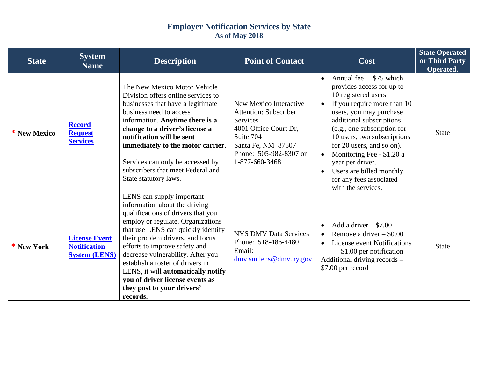| <b>State</b> | <b>System</b><br><b>Name</b>                                        | <b>Description</b>                                                                                                                                                                                                                                                                                                                                                                                                                           | <b>Point of Contact</b>                                                                                                                                                    | Cost                                                                                                                                                                                                                                                                                                                                                                                                       | <b>State Operated</b><br>or Third Party<br><b>Operated.</b> |
|--------------|---------------------------------------------------------------------|----------------------------------------------------------------------------------------------------------------------------------------------------------------------------------------------------------------------------------------------------------------------------------------------------------------------------------------------------------------------------------------------------------------------------------------------|----------------------------------------------------------------------------------------------------------------------------------------------------------------------------|------------------------------------------------------------------------------------------------------------------------------------------------------------------------------------------------------------------------------------------------------------------------------------------------------------------------------------------------------------------------------------------------------------|-------------------------------------------------------------|
| * New Mexico | <b>Record</b><br><b>Request</b><br><b>Services</b>                  | The New Mexico Motor Vehicle<br>Division offers online services to<br>businesses that have a legitimate<br>business need to access<br>information. Anytime there is a<br>change to a driver's license a<br>notification will be sent<br>immediately to the motor carrier.<br>Services can only be accessed by<br>subscribers that meet Federal and<br>State statutory laws.                                                                  | New Mexico Interactive<br><b>Attention: Subscriber</b><br>Services<br>4001 Office Court Dr.<br>Suite 704<br>Santa Fe, NM 87507<br>Phone: 505-982-8307 or<br>1-877-660-3468 | Annual fee $-$ \$75 which<br>provides access for up to<br>10 registered users.<br>If you require more than 10<br>users, you may purchase<br>additional subscriptions<br>(e.g., one subscription for<br>10 users, two subscriptions<br>for 20 users, and so on).<br>Monitoring Fee - \$1.20 a<br>$\bullet$<br>year per driver.<br>Users are billed monthly<br>for any fees associated<br>with the services. | <b>State</b>                                                |
| * New York   | <b>License Event</b><br><b>Notification</b><br><b>System (LENS)</b> | LENS can supply important<br>information about the driving<br>qualifications of drivers that you<br>employ or regulate. Organizations<br>that use LENS can quickly identify<br>their problem drivers, and focus<br>efforts to improve safety and<br>decrease vulnerability. After you<br>establish a roster of drivers in<br>LENS, it will automatically notify<br>you of driver license events as<br>they post to your drivers'<br>records. | <b>NYS DMV Data Services</b><br>Phone: 518-486-4480<br>Email:<br>dmy.sm.lens@dmv.ny.gov                                                                                    | Add a driver $- $7.00$<br>Remove a driver $-$ \$0.00<br><b>License event Notifications</b><br>$-$ \$1.00 per notification<br>Additional driving records -<br>\$7.00 per record                                                                                                                                                                                                                             | <b>State</b>                                                |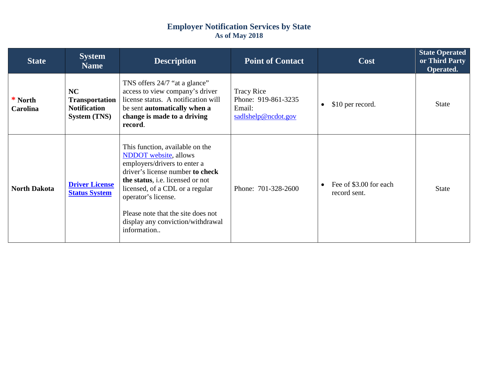| <b>State</b>        | <b>System</b><br><b>Name</b>                                                     | <b>Description</b>                                                                                                                                                                                                                                                                                                          | <b>Point of Contact</b>                                                   | <b>Cost</b>                            | <b>State Operated</b><br>or Third Party<br>Operated. |
|---------------------|----------------------------------------------------------------------------------|-----------------------------------------------------------------------------------------------------------------------------------------------------------------------------------------------------------------------------------------------------------------------------------------------------------------------------|---------------------------------------------------------------------------|----------------------------------------|------------------------------------------------------|
| * North<br>Carolina | <b>NC</b><br><b>Transportation</b><br><b>Notification</b><br><b>System (TNS)</b> | TNS offers 24/7 "at a glance"<br>access to view company's driver<br>license status. A notification will<br>be sent automatically when a<br>change is made to a driving<br>record.                                                                                                                                           | <b>Tracy Rice</b><br>Phone: 919-861-3235<br>Email:<br>sadlshelp@ncdot.gov | \$10 per record.<br>$\bullet$          | <b>State</b>                                         |
| <b>North Dakota</b> | <b>Driver License</b><br><b>Status System</b>                                    | This function, available on the<br>NDDOT website, allows<br>employers/drivers to enter a<br>driver's license number to check<br>the status, <i>i.e.</i> licensed or not<br>licensed, of a CDL or a regular<br>operator's license.<br>Please note that the site does not<br>display any conviction/withdrawal<br>information | Phone: 701-328-2600                                                       | Fee of \$3.00 for each<br>record sent. | State                                                |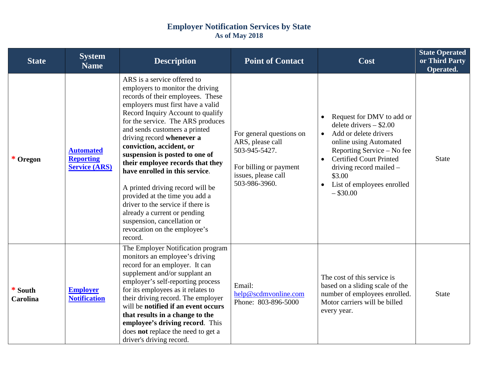| <b>State</b>               | <b>System</b><br><b>Name</b>                                 | <b>Description</b>                                                                                                                                                                                                                                                                                                                                                                                                                                                                                                                                                                                                                         | <b>Point of Contact</b>                                                                                                         | Cost                                                                                                                                                                                                                                                        | <b>State Operated</b><br>or Third Party<br>Operated. |
|----------------------------|--------------------------------------------------------------|--------------------------------------------------------------------------------------------------------------------------------------------------------------------------------------------------------------------------------------------------------------------------------------------------------------------------------------------------------------------------------------------------------------------------------------------------------------------------------------------------------------------------------------------------------------------------------------------------------------------------------------------|---------------------------------------------------------------------------------------------------------------------------------|-------------------------------------------------------------------------------------------------------------------------------------------------------------------------------------------------------------------------------------------------------------|------------------------------------------------------|
| * Oregon                   | <b>Automated</b><br><b>Reporting</b><br><b>Service (ARS)</b> | ARS is a service offered to<br>employers to monitor the driving<br>records of their employees. These<br>employers must first have a valid<br>Record Inquiry Account to qualify<br>for the service. The ARS produces<br>and sends customers a printed<br>driving record whenever a<br>conviction, accident, or<br>suspension is posted to one of<br>their employee records that they<br>have enrolled in this service.<br>A printed driving record will be<br>provided at the time you add a<br>driver to the service if there is<br>already a current or pending<br>suspension, cancellation or<br>revocation on the employee's<br>record. | For general questions on<br>ARS, please call<br>503-945-5427.<br>For billing or payment<br>issues, please call<br>503-986-3960. | Request for DMV to add or<br>delete drivers $-$ \$2.00<br>Add or delete drivers<br>online using Automated<br>Reporting Service – No fee<br><b>Certified Court Printed</b><br>driving record mailed -<br>\$3.00<br>List of employees enrolled<br>$-$ \$30.00 | <b>State</b>                                         |
| * South<br><b>Carolina</b> | <b>Employer</b><br><b>Notification</b>                       | The Employer Notification program<br>monitors an employee's driving<br>record for an employer. It can<br>supplement and/or supplant an<br>employer's self-reporting process<br>for its employees as it relates to<br>their driving record. The employer<br>will be notified if an event occurs<br>that results in a change to the<br>employee's driving record. This<br>does not replace the need to get a<br>driver's driving record.                                                                                                                                                                                                     | Email:<br>help@scdmvonline.com<br>Phone: 803-896-5000                                                                           | The cost of this service is<br>based on a sliding scale of the<br>number of employees enrolled.<br>Motor carriers will be billed<br>every year.                                                                                                             | <b>State</b>                                         |